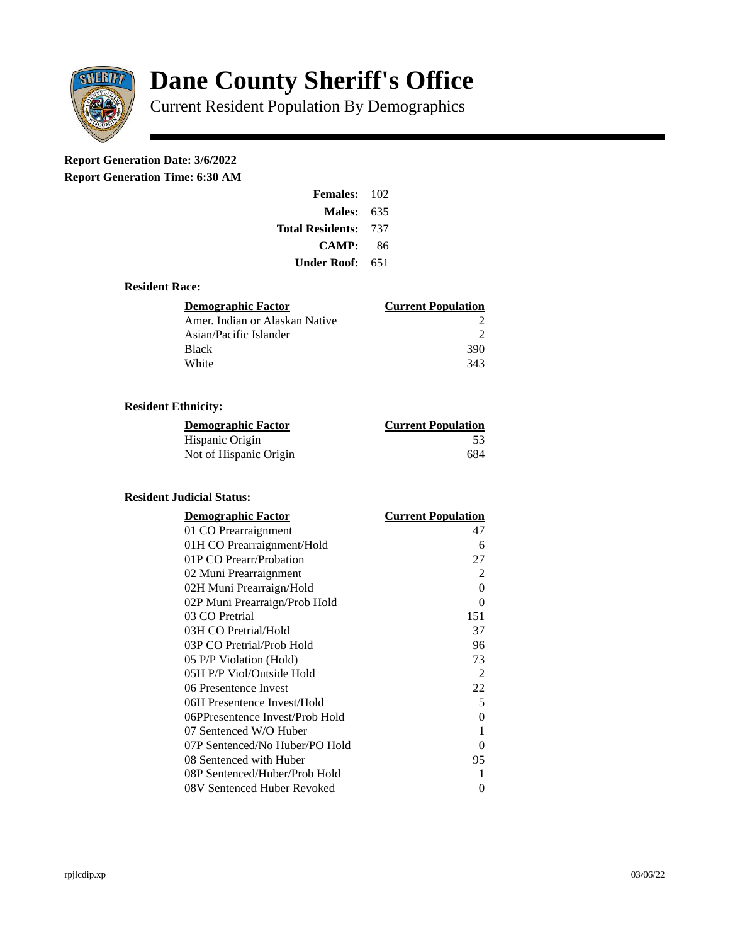

# **Dane County Sheriff's Office**

Current Resident Population By Demographics

# **Report Generation Date: 3/6/2022**

**Report Generation Time: 6:30 AM** 

| <b>Females: 102</b>     |     |
|-------------------------|-----|
| Males:                  | 635 |
| <b>Total Residents:</b> | 737 |
| CAMP:                   | 86  |
| Under Roof:             | 651 |

# **Resident Race:**

| Demographic Factor             | <b>Current Population</b> |
|--------------------------------|---------------------------|
| Amer. Indian or Alaskan Native |                           |
| Asian/Pacific Islander         |                           |
| <b>Black</b>                   | 390                       |
| White                          | 343                       |

# **Resident Ethnicity:**

| <u> Demographic Factor</u> | <b>Current Population</b> |
|----------------------------|---------------------------|
| Hispanic Origin            | -53                       |
| Not of Hispanic Origin     | 684                       |

#### **Resident Judicial Status:**

| <b>Demographic Factor</b>       | <b>Current Population</b> |
|---------------------------------|---------------------------|
| 01 CO Prearraignment            | 47                        |
| 01H CO Prearraignment/Hold      | 6                         |
| 01P CO Prearr/Probation         | 27                        |
| 02 Muni Prearraignment          | 2                         |
| 02H Muni Prearraign/Hold        | $\theta$                  |
| 02P Muni Prearraign/Prob Hold   | 0                         |
| 03 CO Pretrial                  | 151                       |
| 03H CO Pretrial/Hold            | 37                        |
| 03P CO Pretrial/Prob Hold       | 96                        |
| 05 P/P Violation (Hold)         | 73                        |
| 05H P/P Viol/Outside Hold       | 2                         |
| 06 Presentence Invest           | 22                        |
| 06H Presentence Invest/Hold     | 5                         |
| 06PPresentence Invest/Prob Hold | 0                         |
| 07 Sentenced W/O Huber          | 1                         |
| 07P Sentenced/No Huber/PO Hold  | 0                         |
| 08 Sentenced with Huber         | 95                        |
| 08P Sentenced/Huber/Prob Hold   | 1                         |
| 08V Sentenced Huber Revoked     | 0                         |